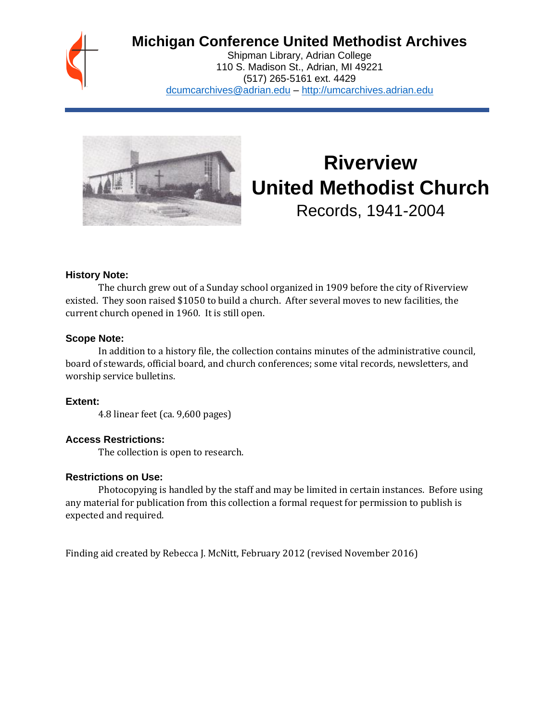

# **Michigan Conference United Methodist Archives**

Shipman Library, Adrian College 110 S. Madison St., Adrian, MI 49221 (517) 265-5161 ext. 4429 [dcumcarchives@adrian.edu](mailto:dcumcarchives@adrian.edu) – [http://umcarchives.adrian.edu](http://umcarchives.adrian.edu/)



# **Riverview United Methodist Church** Records, 1941-2004

#### **History Note:**

The church grew out of a Sunday school organized in 1909 before the city of Riverview existed. They soon raised \$1050 to build a church. After several moves to new facilities, the current church opened in 1960. It is still open.

#### **Scope Note:**

In addition to a history file, the collection contains minutes of the administrative council, board of stewards, official board, and church conferences; some vital records, newsletters, and worship service bulletins.

#### **Extent:**

4.8 linear feet (ca. 9,600 pages)

#### **Access Restrictions:**

The collection is open to research.

#### **Restrictions on Use:**

Photocopying is handled by the staff and may be limited in certain instances. Before using any material for publication from this collection a formal request for permission to publish is expected and required.

Finding aid created by Rebecca J. McNitt, February 2012 (revised November 2016)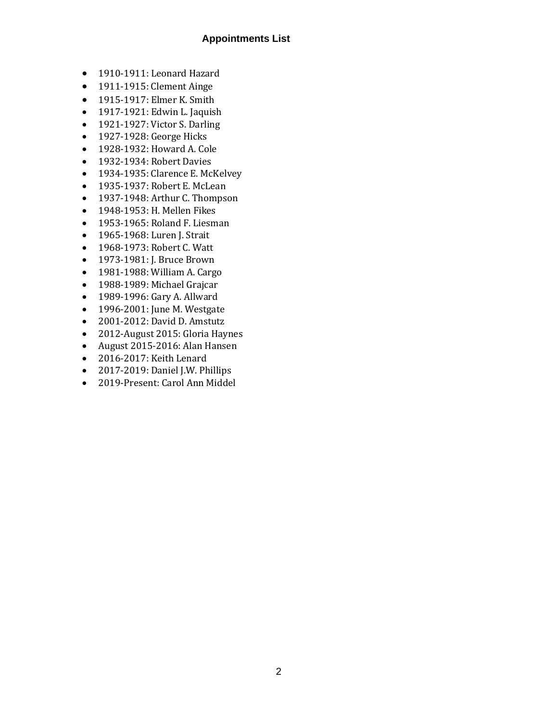#### **Appointments List**

- 1910-1911: Leonard Hazard
- 1911-1915: Clement Ainge
- 1915-1917: Elmer K. Smith
- 1917-1921: Edwin L. Jaquish
- 1921-1927: Victor S. Darling
- 1927-1928: George Hicks
- 1928-1932: Howard A. Cole
- 1932-1934: Robert Davies
- 1934-1935: Clarence E. McKelvey
- 1935-1937: Robert E. McLean
- 1937-1948: Arthur C. Thompson
- 1948-1953: H. Mellen Fikes
- 1953-1965: Roland F. Liesman
- 1965-1968: Luren J. Strait
- 1968-1973: Robert C. Watt
- 1973-1981: J. Bruce Brown
- 1981-1988: William A. Cargo
- 1988-1989: Michael Grajcar
- 1989-1996: Gary A. Allward
- 1996-2001: June M. Westgate
- 2001-2012: David D. Amstutz
- 2012-August 2015: Gloria Haynes
- August 2015-2016: Alan Hansen
- 2016-2017: Keith Lenard
- 2017-2019: Daniel J.W. Phillips
- 2019-Present: Carol Ann Middel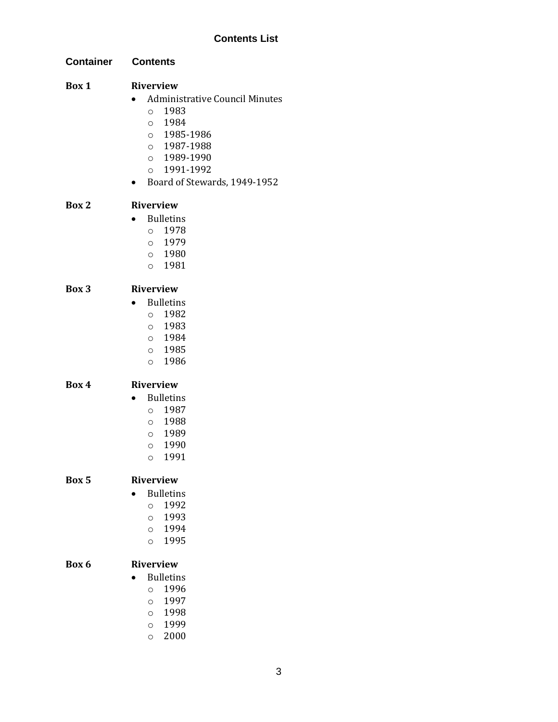# **Contents List**

| <b>Container</b> | <b>Contents</b>                                                                                                                                                                             |
|------------------|---------------------------------------------------------------------------------------------------------------------------------------------------------------------------------------------|
| Box 1            | <b>Riverview</b><br><b>Administrative Council Minutes</b><br>1983<br>$\circ$<br>0 1984<br>0 1985-1986<br>0 1987-1988<br>0 1989-1990<br>1991-1992<br>$\circ$<br>Board of Stewards, 1949-1952 |
| Box 2            | <b>Riverview</b><br><b>Bulletins</b><br>$\bullet$<br>1978<br>$\circ$<br>0 1979<br>0 1980<br>0 1981                                                                                          |
| Box 3            | <b>Riverview</b><br><b>Bulletins</b><br>1982<br>$\circ$<br>0 1983<br>0 1984<br>$\circ$ 1985<br>1986<br>$\circ$                                                                              |
| Box 4            | <b>Riverview</b><br><b>Bulletins</b><br>$\bullet$<br>1987<br>$\circ$<br>1988<br>$\circ$<br>0 1989<br>1990<br>$\circ$<br>1991<br>$\circ$                                                     |
| Box 5            | <b>Riverview</b><br><b>Bulletins</b><br>1992<br>$\circ$<br>1993<br>$\circ$<br>1994<br>$\circ$<br>1995<br>$\circ$                                                                            |
| Box 6            | <b>Riverview</b><br><b>Bulletins</b><br>1996<br>$\circ$<br>1997<br>$\circ$<br>1998<br>$\circ$<br>1999<br>$\circ$                                                                            |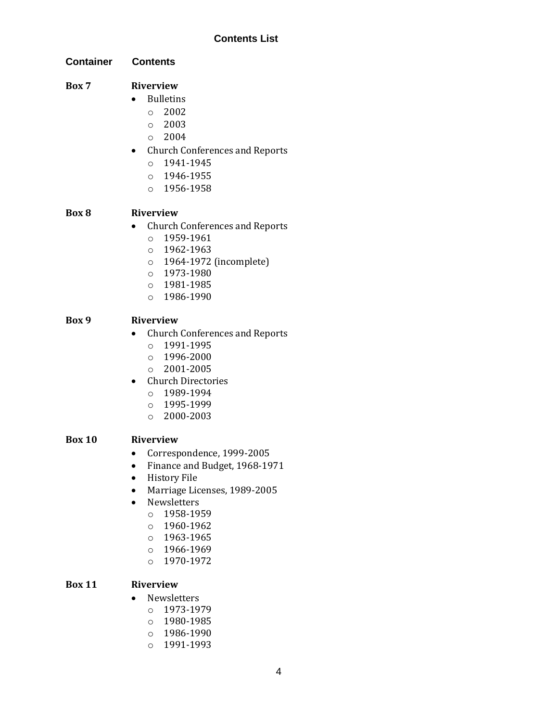#### **Contents List**

**Container Contents**

## **Box 7 Riverview**

- Bulletins
	- $\degree$  2002
	- o 2003
	- $\degree$  2004
- Church Conferences and Reports
	- o 1941-1945
	- o 1946-1955
	- o 1956-1958

# **Box 8 Riverview**

- Church Conferences and Reports
	- o 1959-1961
	- o 1962-1963
	- o 1964-1972 (incomplete)
	- o 1973-1980
	- o 1981-1985
	- o 1986-1990

# **Box 9 Riverview**

- Church Conferences and Reports
	- o 1991-1995
	- o 1996-2000
	- o 2001-2005
- Church Directories
	- o 1989-1994
	- o 1995-1999
	- o 2000-2003

# **Box 10 Riverview**

- Correspondence, 1999-2005
- Finance and Budget, 1968-1971
- History File
- Marriage Licenses, 1989-2005
- Newsletters
	- o 1958-1959
	- o 1960-1962
	- o 1963-1965
	- o 1966-1969
	- o 1970-1972

# **Box 11 Riverview**

- Newsletters
	- o 1973-1979
	- o 1980-1985
	- o 1986-1990
	- o 1991-1993